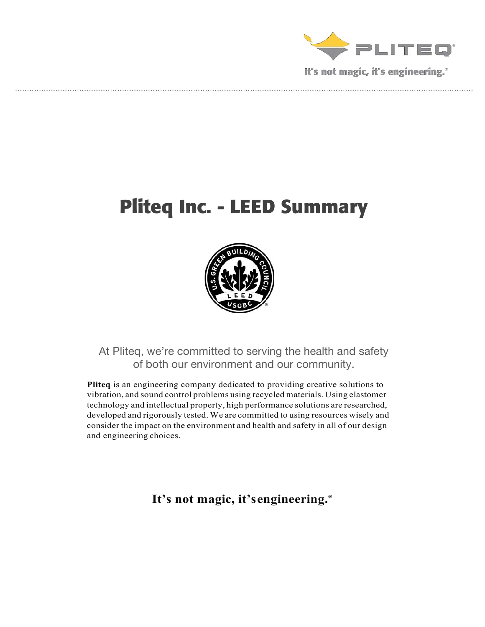

# **Pliteq Inc. - LEED Summary**



At Pliteq, we're committed to serving the health and safety of both our environment and our community.

**Pliteq** is an engineering company dedicated to providing creative solutions to vibration, and sound control problems using recycled materials. Using elastomer technology and intellectual property, high performance solutions are researched, developed and rigorously tested. We are committed to using resources wisely and consider the impact on the environment and health and safety in all of our design and engineering choices.

**It's not magic, it'sengineering.®**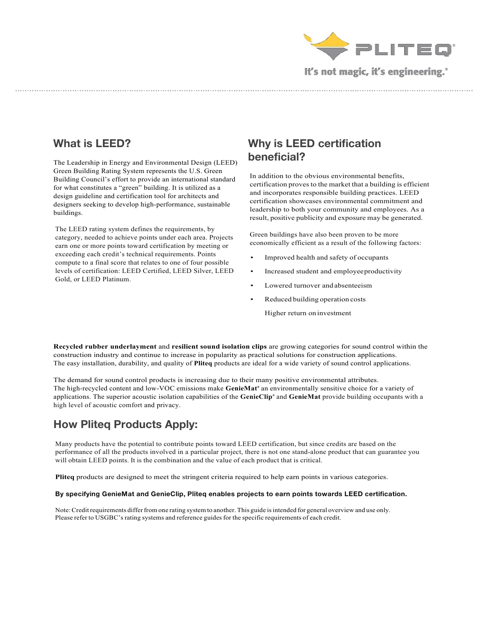

#### **What is LEED?**

The Leadership in Energy and Environmental Design (LEED) Green Building Rating System represents the U.S. Green Building Council's effort to provide an international standard for what constitutes a "green" building. It is utilized as a design guideline and certification tool for architects and designers seeking to develop high-performance, sustainable buildings.

The LEED rating system defines the requirements, by category, needed to achieve points under each area. Projects earn one or more points toward certification by meeting or exceeding each credit's technical requirements. Points compute to a final score that relates to one of four possible levels of certification: LEED Certified, LEED Silver, LEED Gold, or LEED Platinum.

### **Why is LEED certification beneficial?**

In addition to the obvious environmental benefits, certification proves to the market that a building is efficient and incorporates responsible building practices. LEED certification showcases environmental commitment and leadership to both your community and employees. As a result, positive publicity and exposure may be generated.

Green buildings have also been proven to be more economically efficient as a result of the following factors:

- Improved health and safety of occupants
- Increased student and employeeproductivity
- Lowered turnover and absenteeism
- Reduced building operation costs
	- Higher return on investment

**Recycled rubber underlayment** and **resilient sound isolation clips** are growing categories for sound control within the construction industry and continue to increase in popularity as practical solutions for construction applications. The easy installation, durability, and quality of **Pliteq** products are ideal for a wide variety of sound control applications.

The demand for sound control products is increasing due to their many positive environmental attributes. The high-recycled content and low-VOC emissions make **GenieMat®** an environmentally sensitive choice for a variety of applications. The superior acoustic isolation capabilities of the **GenieClip®** and **GenieMat** provide building occupants with a high level of acoustic comfort and privacy.

### **How Pliteq Products Apply:**

Many products have the potential to contribute points toward LEED certification, but since credits are based on the performance of all the products involved in a particular project, there is not one stand-alone product that can guarantee you will obtain LEED points. It is the combination and the value of each product that is critical.

**Pliteq** products are designed to meet the stringent criteria required to help earn points in various categories.

#### **By specifying GenieMat and GenieClip, Pliteq enables projects to earn points towards LEED certification.**

Note:Creditrequirements differfrom one rating system to another. This guide isintended for general overview and use only. Please refer to USGBC's rating systems and reference guides for the specific requirements of each credit.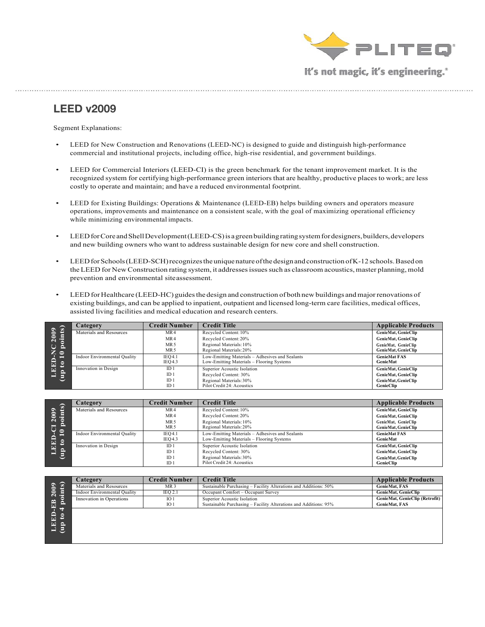

#### **LEED v2009**

Segment Explanations:

- LEED for New Construction and Renovations (LEED-NC) is designed to guide and distinguish high-performance commercial and institutional projects, including office, high-rise residential, and government buildings.
- LEED for Commercial Interiors (LEED-CI) is the green benchmark for the tenant improvement market. It is the recognized system for certifying high-performance green interiors that are healthy, productive places to work; are less costly to operate and maintain; and have a reduced environmental footprint.
- LEED for Existing Buildings: Operations & Maintenance (LEED-EB) helps building owners and operators measure operations, improvements and maintenance on a consistent scale, with the goal of maximizing operational efficiency while minimizing environmental impacts.
- LEED for Core and Shell Development (LEED-CS) is a green building rating system for designers, builders, developers and new building owners who want to address sustainable design for new core and shell construction.
- LEED for Schools (LEED-SCH) recognizes the unique nature of the design and construction of K-12 schools. Based on the LEED for New Construction rating system, it addresses issues such as classroom acoustics, master planning, mold prevention and environmental siteassessment.
- LEED for Healthcare (LEED-HC) guides the design and construction of both new buildings and major renovations of existing buildings, and can be applied to inpatient, outpatient and licensed long-term care facilities, medical offices, assisted living facilities and medical education and research centers.

| $o$ ints $)$<br>$\overline{009}$<br>$\overline{\mathbf{C}}$<br>ē,<br>⊃<br>z o<br>$\equiv$<br>$\mathbf{E}$<br>$\mathbf{e}$<br>딕<br>$\overline{\mathbf{d}}$<br>s | Category                     | <b>Credit Number</b>               | <b>Credit Title</b>                                                                          | <b>Applicable Products</b>                 |
|----------------------------------------------------------------------------------------------------------------------------------------------------------------|------------------------------|------------------------------------|----------------------------------------------------------------------------------------------|--------------------------------------------|
|                                                                                                                                                                | Materials and Resources      | MR4                                | Recycled Content: 10%                                                                        | GenieMat, GenieClip                        |
|                                                                                                                                                                |                              | MR4                                | Recycled Content: 20%                                                                        | GenieMat, GenieClip                        |
|                                                                                                                                                                |                              | MR <sub>5</sub><br>MR <sub>5</sub> | Regional Materials: 10%<br>Regional Materials: 20%                                           | GenieMat, GenieClip<br>GenieMat, GenieClip |
|                                                                                                                                                                | Indoor Environmental Quality | IEO4.1<br>IEO4.3                   | Low-Emitting Materials - Adhesives and Sealants<br>Low-Emitting Materials - Flooring Systems | <b>GenieMat FAS</b><br>GenieMat            |
|                                                                                                                                                                | Innovation in Design         | ID <sub>1</sub>                    | Superior Acoustic Isolation                                                                  | <b>GenieMat, GenieClip</b>                 |
|                                                                                                                                                                |                              | ID <sub>1</sub>                    | Recycled Content: 30%                                                                        | <b>GenieMat, GenieClip</b>                 |
|                                                                                                                                                                |                              | ID <sub>1</sub>                    | Regional Materials: 30%                                                                      | GenieMat, GenieClip                        |
|                                                                                                                                                                |                              | ID <sub>1</sub>                    | Pilot Credit 24: Acoustics                                                                   | <b>GenieClip</b>                           |

|                                       | Category                            | Credit Number           | <b>Credit Title</b>                                                                          | <b>Applicable Products</b>                 |
|---------------------------------------|-------------------------------------|-------------------------|----------------------------------------------------------------------------------------------|--------------------------------------------|
| $\mathbf{S}$                          | Materials and Resources             | MR4                     | Recycled Content: 10%                                                                        | GenieMat, GenieClip                        |
| 2009<br>ъ                             |                                     | MR4                     | Recycled Content: 20%                                                                        | GenieMat, GenieClip                        |
| e<br>Æ                                |                                     | MR 5<br>MR <sub>5</sub> | Regional Materials: 10%<br>Regional Materials: 20%                                           | GenieMat, GenieClip<br>GenieMat, GenieClip |
| $\bullet$<br>$=$<br>Ê<br>$\mathbf{e}$ | <b>Indoor Environmental Quality</b> | IEO4.1<br>IEO4.3        | Low-Emitting Materials - Adhesives and Sealants<br>Low-Emitting Materials - Flooring Systems | <b>GenieMat FAS</b><br><b>GenieMat</b>     |
| 巨                                     | Innovation in Design                | ID <sub>1</sub>         | Superior Acoustic Isolation                                                                  | GenieMat, GenieClip                        |
| $\mathbf{f}$<br>=                     |                                     | ID <sub>1</sub>         | Recycled Content: 30%                                                                        | GenieMat, GenieClip                        |
|                                       |                                     | ID <sub>1</sub>         | Regional Materials: 30%                                                                      | GenieMat, GenieClip                        |
|                                       |                                     | ID <sub>1</sub>         | Pilot Credit 24: Acoustics                                                                   | <b>GenieClip</b>                           |

|                              | Category                     | <b>Credit Number</b> | <b>Credit Title</b>                                              | <b>Applicable Products</b>     |
|------------------------------|------------------------------|----------------------|------------------------------------------------------------------|--------------------------------|
| $\mathbf{G}$<br>$\mathbf{S}$ | Materials and Resources      | MR <sub>3</sub>      | Sustainable Purchasing – Facility Alterations and Additions: 50% | <b>GenieMat, FAS</b>           |
| $\frac{3}{2}$ .              | Indoor Environmental Quality | IEQ 2.1              | Occupant Comfort - Occupant Survey                               | <b>GenieMat, GenieClip</b>     |
| e<br>$\mathbf{r}$            | Innovation in Operations     | IO <sub>1</sub>      | Superior Acoustic Isolation                                      | GenieMat, GenieClip (Retrofit) |
| ГG,<br>므                     |                              | IO <sub>1</sub>      | Sustainable Purchasing - Facility Alterations and Additions: 95% | <b>GenieMat, FAS</b>           |
| ਚਾ                           |                              |                      |                                                                  |                                |
| EED<br>ೆ                     |                              |                      |                                                                  |                                |
| $\sim$                       |                              |                      |                                                                  |                                |
| €<br>=                       |                              |                      |                                                                  |                                |
|                              |                              |                      |                                                                  |                                |
|                              |                              |                      |                                                                  |                                |
|                              |                              |                      |                                                                  |                                |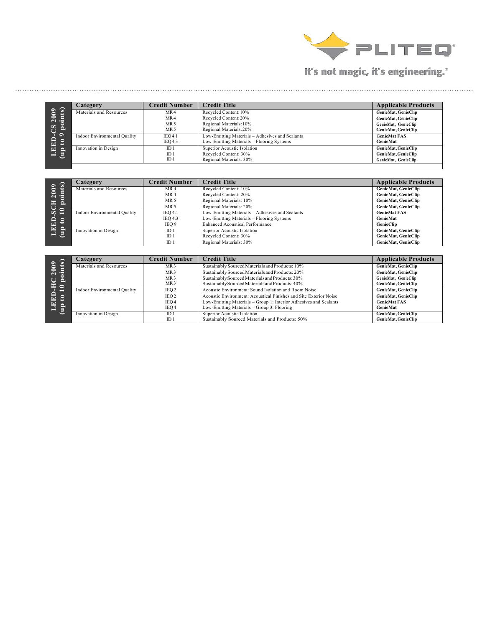

| $\overline{\mathbf{s}}$<br>2009<br>E.       | Category                            | <b>Credit Number</b> | <b>Credit Title</b>                             | <b>Applicable Products</b> |
|---------------------------------------------|-------------------------------------|----------------------|-------------------------------------------------|----------------------------|
|                                             | Materials and Resources             | MR4                  | Recycled Content: 10%                           | GenieMat, GenieClip        |
|                                             |                                     | MR4                  | Recycled Content: 20%                           | GenieMat, GenieClip        |
|                                             |                                     | MR <sub>5</sub>      | Regional Materials: 10%                         | GenieMat, GenieClip        |
| ්ර<br>e<br>Y<br>$\bullet$<br>EED.<br>으<br>e |                                     | MR <sub>5</sub>      | Regional Materials: 20%                         | GenieMat, GenieClip        |
|                                             | <b>Indoor Environmental Quality</b> | IEO4.1               | Low-Emitting Materials - Adhesives and Sealants | <b>GenieMat FAS</b>        |
|                                             |                                     | IEO4.3               | Low-Emitting Materials - Flooring Systems       | <b>GenieMat</b>            |
|                                             | Innovation in Design                | ID <sub>1</sub>      | Superior Acoustic Isolation                     | GenieMat, GenieClip        |
| E<br>ᆷ                                      |                                     | ID <sub>1</sub>      | Recycled Content: 30%                           | GenieMat, GenieClip        |
|                                             |                                     | ID <sub>1</sub>      | Regional Materials: 30%                         | GenieMat, GenieClip        |

| $\mathbf{ts}$                | Category                            | Credit Number   | <b>Credit Title</b>                             | <b>Applicable Products</b> |
|------------------------------|-------------------------------------|-----------------|-------------------------------------------------|----------------------------|
| ౩                            | Materials and Resources             | MR 4            | Recycled Content: 10%                           | <b>GenieMat, GenieClip</b> |
| Θ<br>∍<br>'ā<br>$\mathbf{C}$ |                                     | MR <sub>4</sub> | Recycled Content: 20%                           | <b>GenieMat, GenieClip</b> |
| E<br>e                       |                                     | MR <sub>5</sub> | Regional Materials: 10%                         | <b>GenieMat, GenieClip</b> |
| SC                           |                                     | MR <sub>5</sub> | Regional Materials: 20%                         | <b>GenieMat, GenieClip</b> |
| $\mathbf{P}$                 | <b>Indoor Environmental Quality</b> | <b>IEO 4.1</b>  | Low-Emitting Materials - Adhesives and Sealants | <b>GenieMat FAS</b>        |
|                              |                                     | <b>IEO 4.3</b>  | Low-Emitting Materials - Flooring Systems       | <b>GenieMat</b>            |
| <b>BED</b><br>qp to          |                                     | IEQ 9           | <b>Enhanced Acoustical Performance</b>          | <b>GenieClip</b>           |
| $\mathbf{d}$                 | Innovation in Design                | ID <sub>1</sub> | Superior Acoustic Isolation                     | <b>GenieMat, GenieClip</b> |
| ٣L                           |                                     | ID <sub>1</sub> | Recycled Content: 30%                           | <b>GenieMat, GenieClip</b> |
|                              |                                     | ID <sub>1</sub> | Regional Materials: 30%                         | <b>GenieMat, GenieClip</b> |

| $\overline{\text{points}}$<br>$\mathbf{S}$ | Category                     | <b>Credit Number</b> | <b>Credit Title</b>                                               | <b>Applicable Products</b> |
|--------------------------------------------|------------------------------|----------------------|-------------------------------------------------------------------|----------------------------|
|                                            | Materials and Resources      | MR <sub>3</sub>      | Sustainably Sourced Materials and Products: 10%                   | GenieMat, GenieClip        |
| $\bar{c}$                                  |                              | MR <sub>3</sub>      | Sustainably Sourced Materials and Products: 20%                   | GenieMat, GenieClip        |
| ◡<br>$\Xi$ $\circ$                         |                              | MR <sub>3</sub>      | Sustainably Sourced Materials and Products: 30%                   | GenieMat, GenieClip        |
|                                            |                              | MR <sub>3</sub>      | Sustainably Sourced Materials and Products: 40%                   | GenieMat, GenieClip        |
| $=$                                        | Indoor Environmental Quality | IEQ <sub>2</sub>     | Acoustic Environment: Sound Isolation and Room Noise              | GenieMat, GenieClip        |
| 률<br>$\mathbf{e}$                          |                              | IEQ <sub>2</sub>     | Acoustic Environment: Acoustical Finishes and Site Exterior Noise | GenieMat, GenieClip        |
| Ę<br>$\frac{1}{2}$<br>=                    |                              | IEO 4                | Low-Emitting Materials - Group 1: Interior Adhesives and Sealants | <b>GenieMat FAS</b>        |
|                                            |                              | IEQ4                 | Low-Emitting Materials – Group 3: Flooring                        | GenieMat                   |
|                                            | Innovation in Design         | ID <sub>1</sub>      | Superior Acoustic Isolation                                       | GenieMat, GenieClip        |
|                                            |                              | ID <sub>1</sub>      | Sustainably Sourced Materials and Products: 50%                   | <b>GenieMat, GenieClip</b> |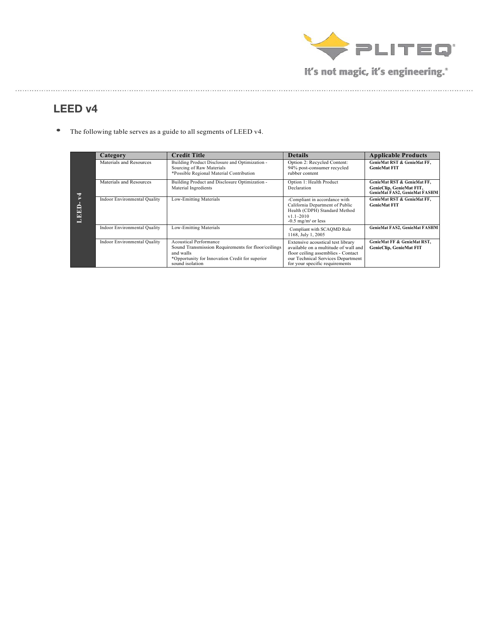

. . . . . . . . . . . . . . . .

## **LEED v4**

• The following table serves as a guide to all segments of LEED v4.

|                        |                                                                                                   |                                                                                                                                                                        | <b>Details</b>                                                                                                                                                                         |                                                                                          |
|------------------------|---------------------------------------------------------------------------------------------------|------------------------------------------------------------------------------------------------------------------------------------------------------------------------|----------------------------------------------------------------------------------------------------------------------------------------------------------------------------------------|------------------------------------------------------------------------------------------|
|                        | Category                                                                                          | <b>Credit Title</b>                                                                                                                                                    |                                                                                                                                                                                        | <b>Applicable Products</b>                                                               |
| $\overline{z}$<br>LEED | Materials and Resources                                                                           | Building Product Disclosure and Optimization -<br>Sourcing of Raw Materials<br>*Possible Regional Material Contribution                                                | Option 2: Recycled Content:<br>94% post-consumer recycled<br>rubber content                                                                                                            | GenieMat RST & GenieMat FF,<br><b>GenieMat FIT</b>                                       |
|                        | Building Product and Disclosure Optimization -<br>Materials and Resources<br>Material Ingredients |                                                                                                                                                                        | Option 1: Health Product<br>Declaration                                                                                                                                                | GenieMat RST & GenieMat FF.<br>GenieClip, GenieMat FIT,<br>GenieMat FAS2, GenieMat FASHM |
|                        | Low-Emitting Materials<br><b>Indoor Environmental Quality</b>                                     |                                                                                                                                                                        | -Compliant in accordance with<br>California Department of Public<br>Health (CDPH) Standard Method<br>$v11 - 2010$<br>$-0.5$ mg/m <sup>3</sup> or less                                  | GenieMat RST & GenieMat FF.<br><b>GenieMat FIT</b>                                       |
|                        | <b>Indoor Environmental Quality</b>                                                               | Low-Emitting Materials                                                                                                                                                 | Compliant with SCAQMD Rule<br>1168, July 1, 2005                                                                                                                                       | GenieMat FAS2, GenieMat FASHM                                                            |
|                        | <b>Indoor Environmental Quality</b>                                                               | <b>Acoustical Performance</b><br>Sound Transmission Requirements for floor/ceilings<br>and walls<br>*Opportunity for Innovation Credit for superior<br>sound isolation | Extensive acoustical test library<br>available on a multitude of wall and<br>floor ceiling assemblies - Contact<br>our Technical Services Department<br>for your specific requirements | GenieMat FF & GenieMat RST,<br><b>GenieClip, GenieMat FIT</b>                            |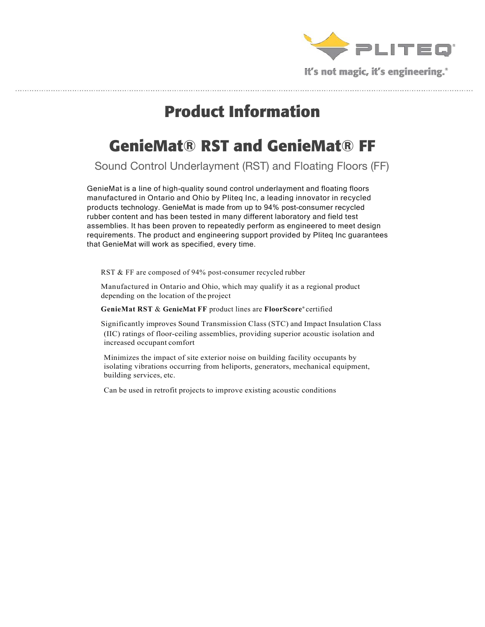

# **Product Information**

# **GenieMat® RST and GenieMat® FF**

Sound Control Underlayment (RST) and Floating Floors (FF)

GenieMat is a line of high-quality sound control underlayment and floating floors manufactured in Ontario and Ohio by Pliteq Inc, a leading innovator in recycled products technology. GenieMat is made from up to 94% post-consumer recycled rubber content and has been tested in many different laboratory and field test assemblies. It has been proven to repeatedly perform as engineered to meet design requirements. The product and engineering support provided by Pliteq Inc guarantees that GenieMat will work as specified, every time.

RST & FF are composed of 94% post-consumer recycled rubber

 Manufactured in Ontario and Ohio, which may qualify it as a regional product depending on the location of the project

**GenieMat RST** & **GenieMat FF** product lines are **FloorScore®** certified

 Significantly improves Sound Transmission Class (STC) and Impact Insulation Class (IIC) ratings of floor-ceiling assemblies, providing superior acoustic isolation and increased occupant comfort

 Minimizes the impact of site exterior noise on building facility occupants by isolating vibrations occurring from heliports, generators, mechanical equipment, building services, etc.

Can be used in retrofit projects to improve existing acoustic conditions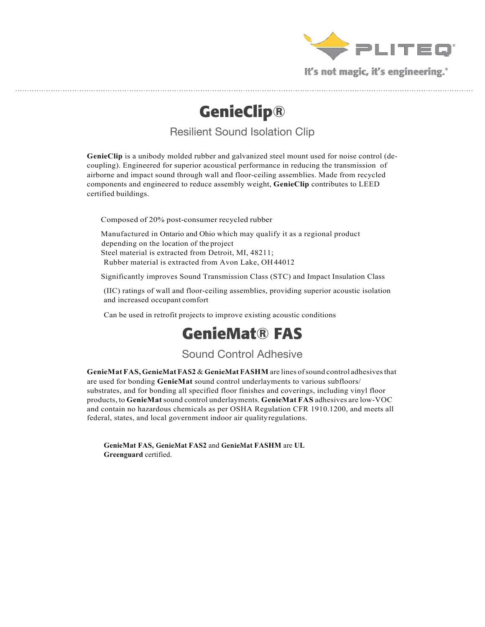

**GenieClip®**

Resilient Sound Isolation Clip

**GenieClip** is a unibody molded rubber and galvanized steel mount used for noise control (decoupling). Engineered for superior acoustical performance in reducing the transmission of airborne and impact sound through wall and floor-ceiling assemblies. Made from recycled components and engineered to reduce assembly weight, **GenieClip** contributes to LEED certified buildings.

Composed of 20% post-consumer recycled rubber

 Manufactured in Ontario and Ohio which may qualify it as a regional product depending on the location of the project Steel material is extracted from Detroit, MI, 48211; Rubber material is extracted from Avon Lake, OH44012

Significantly improves Sound Transmission Class (STC) and Impact Insulation Class

(IIC) ratings of wall and floor-ceiling assemblies, providing superior acoustic isolation and increased occupant comfort

Can be used in retrofit projects to improve existing acoustic conditions

# **GenieMat® FAS**

Sound Control Adhesive

**GenieMatFAS,GenieMatFAS2** & **GenieMatFASHM** are lines ofsound control adhesivesthat are used for bonding **GenieMat** sound control underlayments to various subfloors/ substrates, and for bonding all specified floor finishes and coverings, including vinyl floor products, to **GenieMat**sound control underlayments. **GenieMat FAS** adhesives are low-VOC and contain no hazardous chemicals as per OSHA Regulation CFR 1910.1200, and meets all federal, states, and local government indoor air qualityregulations.

 **GenieMat FAS, GenieMat FAS2** and **GenieMat FASHM** are **UL Greenguard** certified.